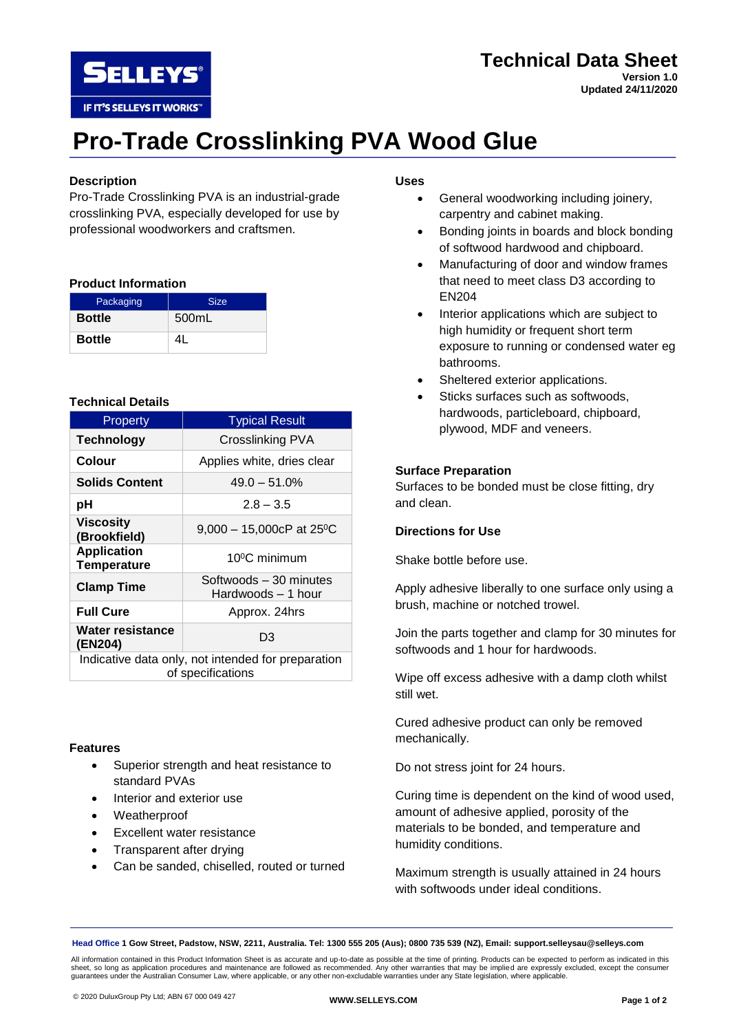

# **Technical Data Sheet Version 1.0 Updated 24/11/2020**

# **Pro-Trade Crosslinking PVA Wood Glue**

# **Description**

Pro-Trade Crosslinking PVA is an industrial-grade crosslinking PVA, especially developed for use by professional woodworkers and craftsmen.

### **Product Information**

| Packaging     | <b>Size</b> |
|---------------|-------------|
| <b>Bottle</b> | 500mL       |
| <b>Bottle</b> | Λl          |

# **Technical Details**

| Property                                                                | <b>Typical Result</b>                        |
|-------------------------------------------------------------------------|----------------------------------------------|
| <b>Technology</b>                                                       | Crosslinking PVA                             |
| Colour                                                                  | Applies white, dries clear                   |
| <b>Solids Content</b>                                                   | $49.0 - 51.0%$                               |
| рH                                                                      | $2.8 - 3.5$                                  |
| <b>Viscosity</b><br>(Brookfield)                                        | 9,000 - 15,000cP at 25°C                     |
| <b>Application</b><br><b>Temperature</b>                                | 10 <sup>o</sup> C minimum                    |
| <b>Clamp Time</b>                                                       | Softwoods - 30 minutes<br>Hardwoods – 1 hour |
| <b>Full Cure</b>                                                        | Approx. 24hrs                                |
| Water resistance<br>(EN204)                                             | D3                                           |
| Indicative data only, not intended for preparation<br>of specifications |                                              |

### **Features**

- Superior strength and heat resistance to standard PVAs
- Interior and exterior use
- Weatherproof
- Excellent water resistance
- Transparent after drying
- Can be sanded, chiselled, routed or turned

# **Uses**

- General woodworking including joinery, carpentry and cabinet making.
- Bonding joints in boards and block bonding of softwood hardwood and chipboard.
- Manufacturing of door and window frames that need to meet class D3 according to EN204
- Interior applications which are subject to high humidity or frequent short term exposure to running or condensed water eg bathrooms.
- Sheltered exterior applications.
- Sticks surfaces such as softwoods. hardwoods, particleboard, chipboard, plywood, MDF and veneers.

# **Surface Preparation**

Surfaces to be bonded must be close fitting, dry and clean.

# **Directions for Use**

Shake bottle before use.

Apply adhesive liberally to one surface only using a brush, machine or notched trowel.

Join the parts together and clamp for 30 minutes for softwoods and 1 hour for hardwoods.

Wipe off excess adhesive with a damp cloth whilst still wet.

Cured adhesive product can only be removed mechanically.

Do not stress joint for 24 hours.

Curing time is dependent on the kind of wood used, amount of adhesive applied, porosity of the materials to be bonded, and temperature and humidity conditions.

Maximum strength is usually attained in 24 hours with softwoods under ideal conditions.

**Head Office 1 Gow Street, Padstow, NSW, 2211, Australia. Tel: 1300 555 205 (Aus); 0800 735 539 (NZ), Email: support.selleysau@selleys.com**

All information contained in this Product Information Sheet is as accurate and up-to-date as possible at the time of printing. Products can be expected to perform as indicated in this<br>sheet, so long as application procedur guarantees under the Australian Consumer Law, where applicable, or any other non-excludable warranties under any State legislation, where applicable.